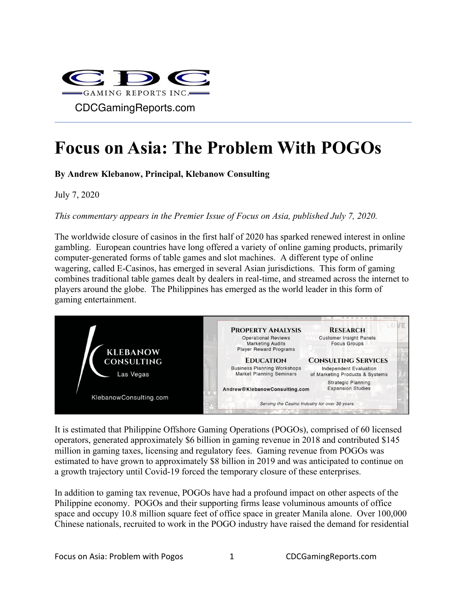

# **Focus on Asia: The Problem With POGOs**

**By Andrew Klebanow, Principal, Klebanow Consulting**

July 7, 2020

*This commentary appears in the Premier Issue of Focus on Asia, published July 7, 2020.*

The worldwide closure of casinos in the first half of 2020 has sparked renewed interest in online gambling. European countries have long offered a variety of online gaming products, primarily computer-generated forms of table games and slot machines. A different type of online wagering, called E-Casinos, has emerged in several Asian jurisdictions. This form of gaming combines traditional table games dealt by dealers in real-time, and streamed across the internet to players around the globe. The Philippines has emerged as the world leader in this form of gaming entertainment.



It is estimated that Philippine Offshore Gaming Operations (POGOs), comprised of 60 licensed operators, generated approximately \$6 billion in gaming revenue in 2018 and contributed \$145 million in gaming taxes, licensing and regulatory fees. Gaming revenue from POGOs was estimated to have grown to approximately \$8 billion in 2019 and was anticipated to continue on a growth trajectory until Covid-19 forced the temporary closure of these enterprises.

In addition to gaming tax revenue, POGOs have had a profound impact on other aspects of the Philippine economy. POGOs and their supporting firms lease voluminous amounts of office space and occupy 10.8 million square feet of office space in greater Manila alone. Over 100,000 Chinese nationals, recruited to work in the POGO industry have raised the demand for residential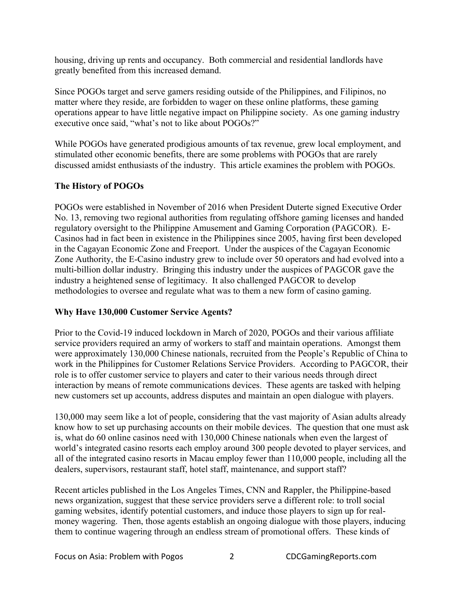housing, driving up rents and occupancy. Both commercial and residential landlords have greatly benefited from this increased demand.

Since POGOs target and serve gamers residing outside of the Philippines, and Filipinos, no matter where they reside, are forbidden to wager on these online platforms, these gaming operations appear to have little negative impact on Philippine society. As one gaming industry executive once said, "what's not to like about POGOs?"

While POGOs have generated prodigious amounts of tax revenue, grew local employment, and stimulated other economic benefits, there are some problems with POGOs that are rarely discussed amidst enthusiasts of the industry. This article examines the problem with POGOs.

#### **The History of POGOs**

POGOs were established in November of 2016 when President Duterte signed Executive Order No. 13, removing two regional authorities from regulating offshore gaming licenses and handed regulatory oversight to the Philippine Amusement and Gaming Corporation (PAGCOR). E-Casinos had in fact been in existence in the Philippines since 2005, having first been developed in the Cagayan Economic Zone and Freeport. Under the auspices of the Cagayan Economic Zone Authority, the E-Casino industry grew to include over 50 operators and had evolved into a multi-billion dollar industry. Bringing this industry under the auspices of PAGCOR gave the industry a heightened sense of legitimacy. It also challenged PAGCOR to develop methodologies to oversee and regulate what was to them a new form of casino gaming.

#### **Why Have 130,000 Customer Service Agents?**

Prior to the Covid-19 induced lockdown in March of 2020, POGOs and their various affiliate service providers required an army of workers to staff and maintain operations. Amongst them were approximately 130,000 Chinese nationals, recruited from the People's Republic of China to work in the Philippines for Customer Relations Service Providers. According to PAGCOR, their role is to offer customer service to players and cater to their various needs through direct interaction by means of remote communications devices. These agents are tasked with helping new customers set up accounts, address disputes and maintain an open dialogue with players.

130,000 may seem like a lot of people, considering that the vast majority of Asian adults already know how to set up purchasing accounts on their mobile devices. The question that one must ask is, what do 60 online casinos need with 130,000 Chinese nationals when even the largest of world's integrated casino resorts each employ around 300 people devoted to player services, and all of the integrated casino resorts in Macau employ fewer than 110,000 people, including all the dealers, supervisors, restaurant staff, hotel staff, maintenance, and support staff?

Recent articles published in the Los Angeles Times, CNN and Rappler, the Philippine-based news organization, suggest that these service providers serve a different role: to troll social gaming websites, identify potential customers, and induce those players to sign up for realmoney wagering. Then, those agents establish an ongoing dialogue with those players, inducing them to continue wagering through an endless stream of promotional offers. These kinds of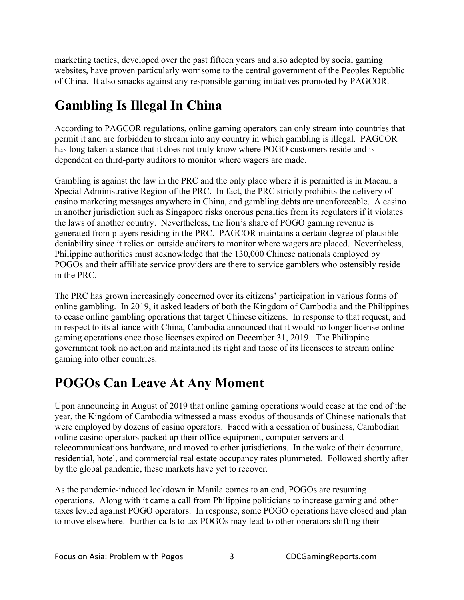marketing tactics, developed over the past fifteen years and also adopted by social gaming websites, have proven particularly worrisome to the central government of the Peoples Republic of China. It also smacks against any responsible gaming initiatives promoted by PAGCOR.

## **Gambling Is Illegal In China**

According to PAGCOR regulations, online gaming operators can only stream into countries that permit it and are forbidden to stream into any country in which gambling is illegal. PAGCOR has long taken a stance that it does not truly know where POGO customers reside and is dependent on third-party auditors to monitor where wagers are made.

Gambling is against the law in the PRC and the only place where it is permitted is in Macau, a Special Administrative Region of the PRC. In fact, the PRC strictly prohibits the delivery of casino marketing messages anywhere in China, and gambling debts are unenforceable. A casino in another jurisdiction such as Singapore risks onerous penalties from its regulators if it violates the laws of another country. Nevertheless, the lion's share of POGO gaming revenue is generated from players residing in the PRC. PAGCOR maintains a certain degree of plausible deniability since it relies on outside auditors to monitor where wagers are placed. Nevertheless, Philippine authorities must acknowledge that the 130,000 Chinese nationals employed by POGOs and their affiliate service providers are there to service gamblers who ostensibly reside in the PRC.

The PRC has grown increasingly concerned over its citizens' participation in various forms of online gambling. In 2019, it asked leaders of both the Kingdom of Cambodia and the Philippines to cease online gambling operations that target Chinese citizens. In response to that request, and in respect to its alliance with China, Cambodia announced that it would no longer license online gaming operations once those licenses expired on December 31, 2019. The Philippine government took no action and maintained its right and those of its licensees to stream online gaming into other countries.

### **POGOs Can Leave At Any Moment**

Upon announcing in August of 2019 that online gaming operations would cease at the end of the year, the Kingdom of Cambodia witnessed a mass exodus of thousands of Chinese nationals that were employed by dozens of casino operators. Faced with a cessation of business, Cambodian online casino operators packed up their office equipment, computer servers and telecommunications hardware, and moved to other jurisdictions. In the wake of their departure, residential, hotel, and commercial real estate occupancy rates plummeted. Followed shortly after by the global pandemic, these markets have yet to recover.

As the pandemic-induced lockdown in Manila comes to an end, POGOs are resuming operations. Along with it came a call from Philippine politicians to increase gaming and other taxes levied against POGO operators. In response, some POGO operations have closed and plan to move elsewhere. Further calls to tax POGOs may lead to other operators shifting their